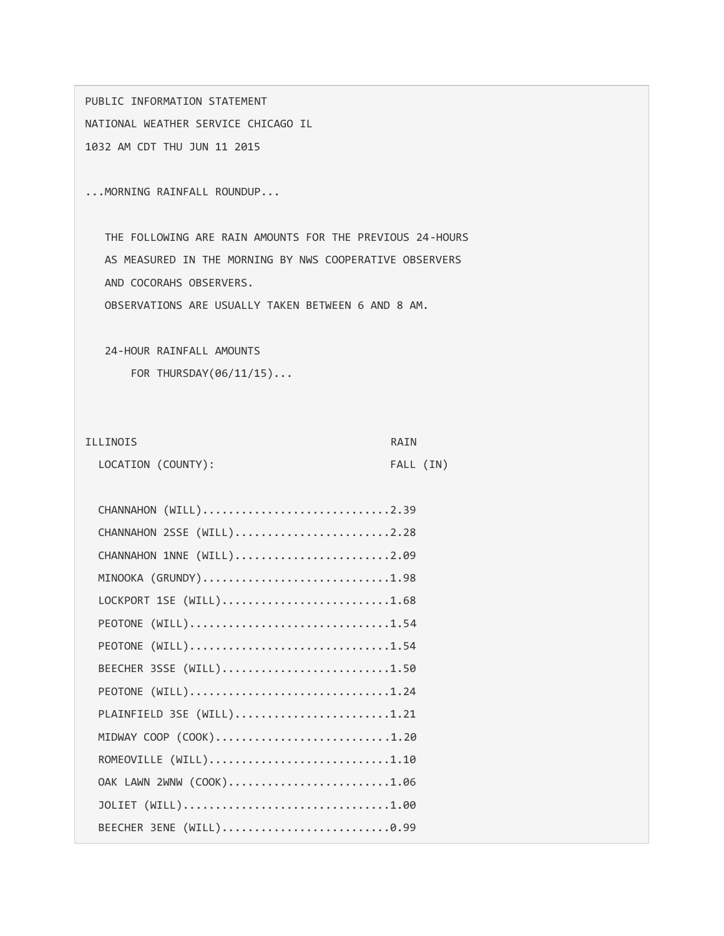PUBLIC INFORMATION STATEMENT NATIONAL WEATHER SERVICE CHICAGO IL 1032 AM CDT THU JUN 11 2015

...MORNING RAINFALL ROUNDUP...

 THE FOLLOWING ARE RAIN AMOUNTS FOR THE PREVIOUS 24-HOURS AS MEASURED IN THE MORNING BY NWS COOPERATIVE OBSERVERS AND COCORAHS OBSERVERS.

OBSERVATIONS ARE USUALLY TAKEN BETWEEN 6 AND 8 AM.

24-HOUR RAINFALL AMOUNTS

FOR THURSDAY(06/11/15)...

## ILLINOIS RAIN

| LOCATION (COUNTY): |  | FALL (IN) |  |
|--------------------|--|-----------|--|

| CHANNAHON (WILL)2.39      |
|---------------------------|
| CHANNAHON 2SSE (WILL)2.28 |
| CHANNAHON 1NNE (WILL)2.09 |
| MINOOKA (GRUNDY)1.98      |
| LOCKPORT 1SE (WILL)1.68   |
| PEOTONE (WILL)1.54        |
| PEOTONE (WILL)1.54        |
| BEECHER 3SSE (WILL)1.50   |
| PEOTONE (WILL)1.24        |
| PLAINFIELD 3SE (WILL)1.21 |
| MIDWAY COOP (COOK)1.20    |
| ROMEOVILLE (WILL)1.10     |
| OAK LAWN 2WNW (COOK)1.06  |
| JOLIET (WILL)1.00         |
| BEECHER 3ENE (WILL)0.99   |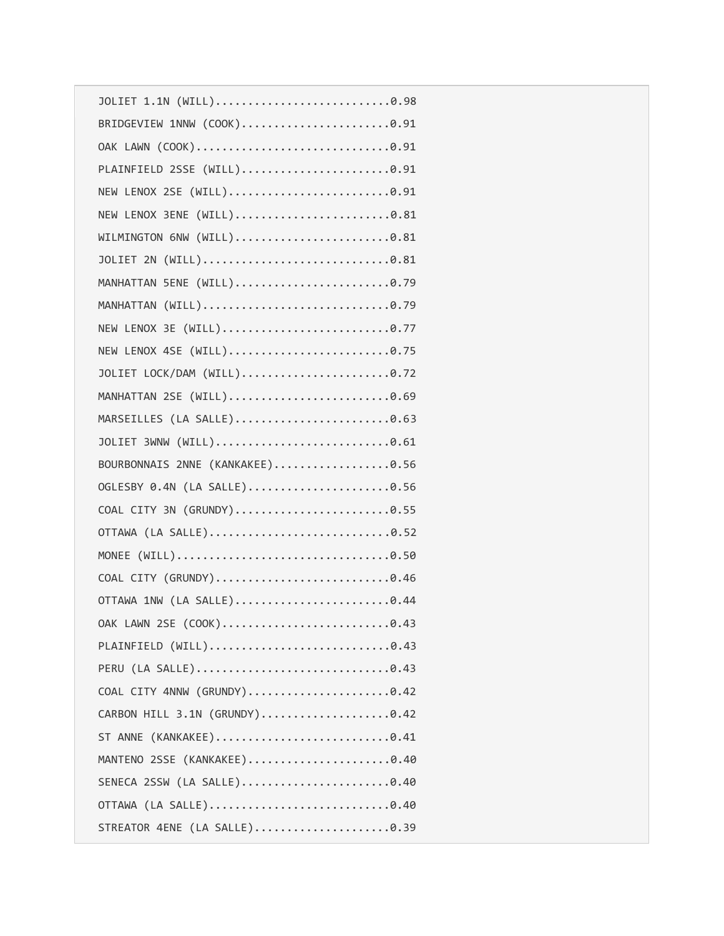| JOLIET 1.1N (WILL)0.98          |
|---------------------------------|
| BRIDGEVIEW 1NNW (COOK)0.91      |
|                                 |
| PLAINFIELD 2SSE (WILL)0.91      |
| NEW LENOX 2SE (WILL)0.91        |
| NEW LENOX 3ENE (WILL)0.81       |
| WILMINGTON 6NW (WILL)0.81       |
|                                 |
|                                 |
|                                 |
| NEW LENOX 3E (WILL)0.77         |
| NEW LENOX 4SE (WILL)0.75        |
| JOLIET LOCK/DAM (WILL)0.72      |
|                                 |
| MARSEILLES (LA SALLE)0.63       |
| JOLIET 3WNW (WILL)0.61          |
| BOURBONNAIS 2NNE (KANKAKEE)0.56 |
| OGLESBY 0.4N (LA SALLE)0.56     |
| COAL CITY 3N (GRUNDY)0.55       |
|                                 |
|                                 |
|                                 |
|                                 |
|                                 |
| PLAINFIELD (WILL)0.43           |
|                                 |
| COAL CITY 4NNW (GRUNDY)0.42     |
| CARBON HILL 3.1N (GRUNDY)0.42   |
|                                 |
| MANTENO 2SSE (KANKAKEE)0.40     |
| SENECA 2SSW (LA SALLE)0.40      |
|                                 |
|                                 |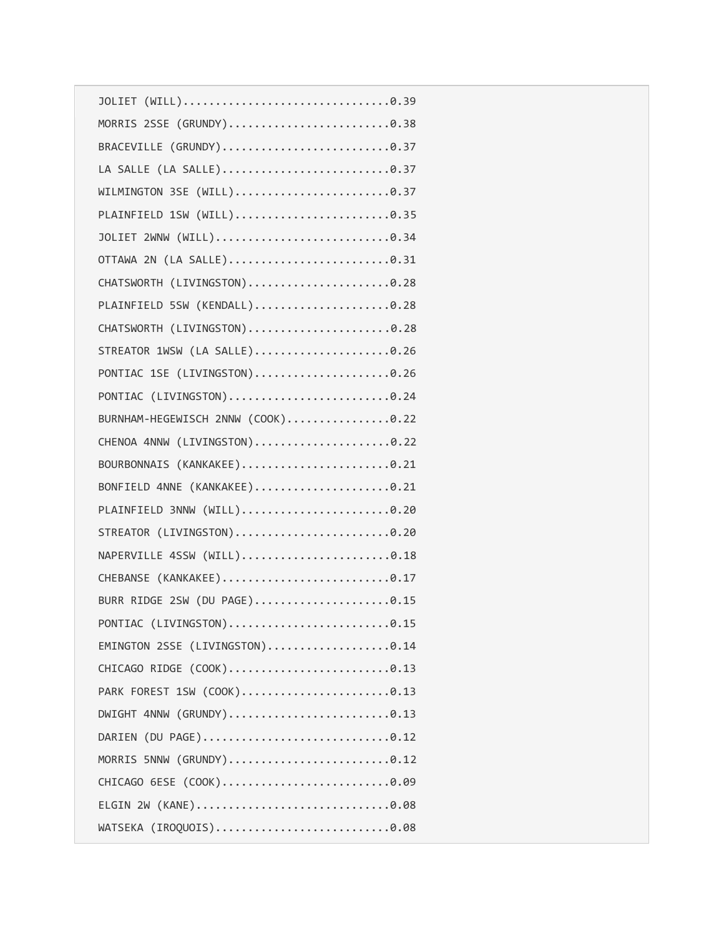| MORRIS 2SSE (GRUNDY)0.38          |
|-----------------------------------|
|                                   |
|                                   |
|                                   |
|                                   |
|                                   |
| OTTAWA 2N (LA SALLE)0.31          |
| CHATSWORTH (LIVINGSTON)0.28       |
| PLAINFIELD 5SW (KENDALL)0.28      |
| CHATSWORTH (LIVINGSTON)0.28       |
| STREATOR 1WSW (LA SALLE)0.26      |
| PONTIAC 1SE (LIVINGSTON)0.26      |
|                                   |
| BURNHAM-HEGEWISCH 2NNW (COOK)0.22 |
| CHENOA 4NNW (LIVINGSTON)0.22      |
| BOURBONNAIS (KANKAKEE)0.21        |
| BONFIELD 4NNE (KANKAKEE)0.21      |
| PLAINFIELD 3NNW (WILL)0.20        |
| STREATOR (LIVINGSTON)0.20         |
| NAPERVILLE 4SSW (WILL)0.18        |
| CHEBANSE (KANKAKEE)0.17           |
| BURR RIDGE 2SW (DU PAGE)0.15      |
| PONTIAC (LIVINGSTON)0.15          |
| EMINGTON 2SSE (LIVINGSTON)0.14    |
| CHICAGO RIDGE (COOK)0.13          |
| PARK FOREST 1SW (COOK)0.13        |
|                                   |
| DARIEN (DU PAGE)0.12              |
| MORRIS 5NNW (GRUNDY)0.12          |
| CHICAGO 6ESE (COOK)0.09           |
|                                   |
| WATSEKA (IROQUOIS)0.08            |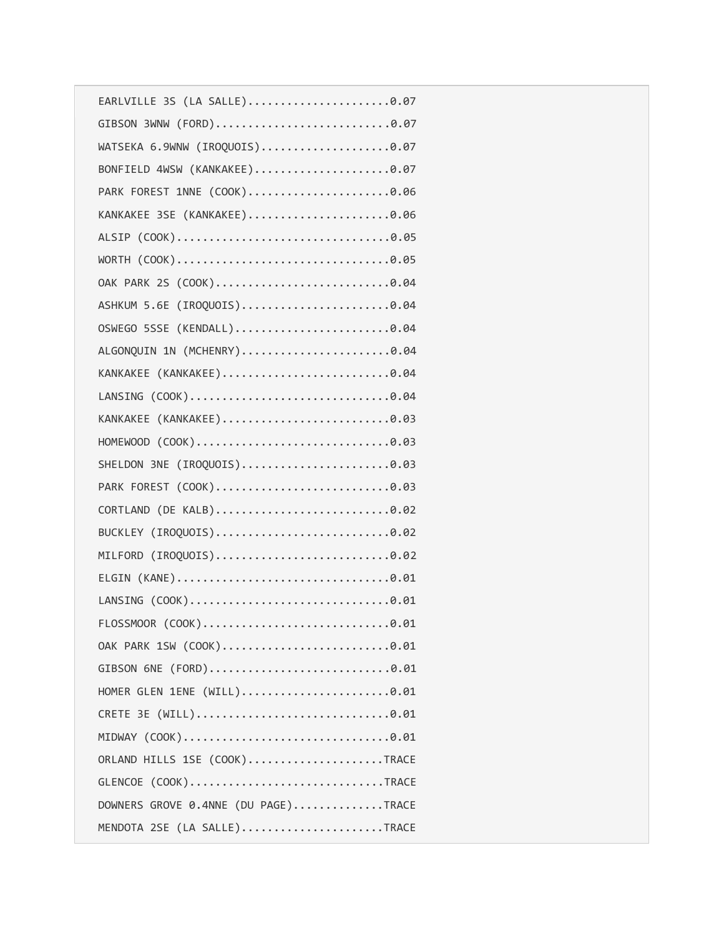| GIBSON 3WNW (FORD)0.07              |
|-------------------------------------|
| WATSEKA 6.9WNW (IROQUOIS)0.07       |
| BONFIELD 4WSW (KANKAKEE)0.07        |
| PARK FOREST 1NNE (COOK)0.06         |
| KANKAKEE 3SE (KANKAKEE)0.06         |
|                                     |
|                                     |
|                                     |
| ASHKUM 5.6E (IROQUOIS)0.04          |
| OSWEGO 5SSE (KENDALL)0.04           |
| ALGONQUIN 1N (MCHENRY)0.04          |
| KANKAKEE (KANKAKEE)0.04             |
|                                     |
| KANKAKEE (KANKAKEE)0.03             |
|                                     |
| SHELDON 3NE (IROQUOIS)0.03          |
| PARK FOREST (COOK)0.03              |
| CORTLAND (DE KALB)0.02              |
| BUCKLEY (IROQUOIS)0.02              |
| MILFORD (IROQUOIS)0.02              |
|                                     |
|                                     |
|                                     |
| OAK PARK 1SW (COOK)0.01             |
| GIBSON 6NE (FORD)0.01               |
| HOMER GLEN 1ENE (WILL)0.01          |
|                                     |
|                                     |
| ORLAND HILLS 1SE (COOK)TRACE        |
| GLENCOE (COOK)TRACE                 |
| DOWNERS GROVE 0.4NNE (DU PAGE)TRACE |
| MENDOTA 2SE (LA SALLE)TRACE         |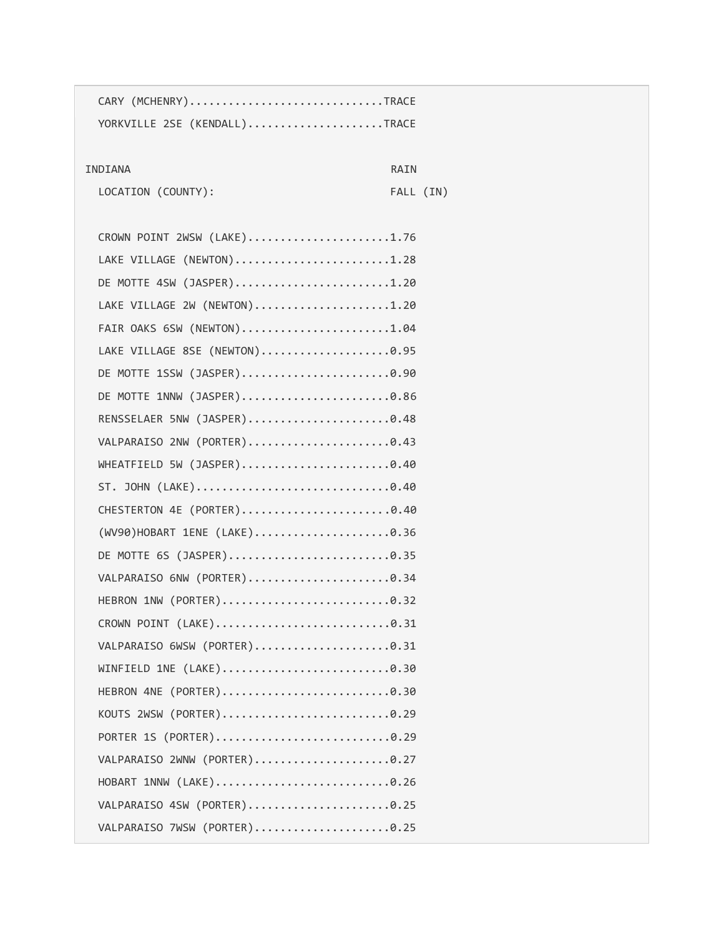| CARY (MCHENRY)TRACE           |           |
|-------------------------------|-----------|
| YORKVILLE 2SE (KENDALL)TRACE  |           |
| INDIANA<br>RAIN               |           |
| LOCATION (COUNTY):            | FALL (IN) |
|                               |           |
| CROWN POINT 2WSW (LAKE)1.76   |           |
| LAKE VILLAGE (NEWTON)1.28     |           |
| DE MOTTE 4SW (JASPER)1.20     |           |
| LAKE VILLAGE 2W (NEWTON)1.20  |           |
| FAIR OAKS 6SW (NEWTON)1.04    |           |
| LAKE VILLAGE 8SE (NEWTON)0.95 |           |
|                               |           |
| DE MOTTE 1SSW (JASPER)0.90    |           |
| DE MOTTE 1NNW (JASPER)0.86    |           |
| RENSSELAER 5NW (JASPER)0.48   |           |
| VALPARAISO 2NW (PORTER)0.43   |           |
| WHEATFIELD 5W (JASPER)0.40    |           |
|                               |           |
| CHESTERTON 4E (PORTER)0.40    |           |
| (WV90)HOBART 1ENE (LAKE)0.36  |           |
|                               |           |
| VALPARAISO 6NW (PORTER)0.34   |           |
|                               |           |
| CROWN POINT (LAKE)0.31        |           |
| VALPARAISO 6WSW (PORTER)0.31  |           |
|                               |           |
|                               |           |
| KOUTS 2WSW (PORTER)0.29       |           |
| PORTER 1S (PORTER)0.29        |           |
| VALPARAISO 2WNW (PORTER)0.27  |           |
| HOBART 1NNW (LAKE)0.26        |           |
| VALPARAISO 4SW (PORTER)0.25   |           |
| VALPARAISO 7WSW (PORTER)0.25  |           |